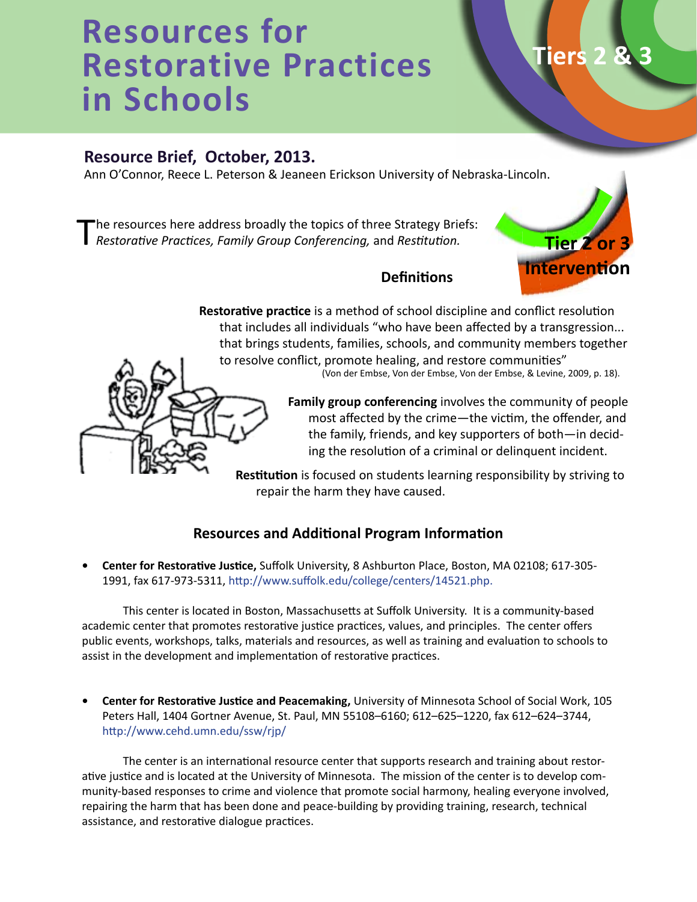# **Resources for Restorative Practices in Schools**

# **Resource Brief, October, 2013.**

Ann O'Connor, Reece L. Peterson & Jeaneen Erickson University of Nebraska-Lincoln.

'he resources here address broadly the topics of three Strategy Briefs: *Restorative Practices, Family Group Conferencing,* and *Restitution.*



**Tiers** 

# **Definitions**

**Restorative practice** is a method of school discipline and conflict resolution that includes all individuals "who have been affected by a transgression... that brings students, families, schools, and community members together to resolve conflict, promote healing, and restore communities"

(Von der Embse, Von der Embse, Von der Embse, & Levine, 2009, p. 18).

**Family group conferencing** involves the community of people most affected by the crime—the victim, the offender, and the family, friends, and key supporters of both—in deciding the resolution of a criminal or delinquent incident.

**Restitution** is focused on students learning responsibility by striving to repair the harm they have caused.

## **Resources and Additional Program Information**

**• Center for Restorative Justice,** Suffolk University, 8 Ashburton Place, Boston, MA 02108; 617-305- 1991, fax 617-973-5311, http://www.suffolk.edu/college/centers/14521.php.

This center is located in Boston, Massachusetts at Suffolk University. It is a community-based academic center that promotes restorative justice practices, values, and principles. The center offers public events, workshops, talks, materials and resources, as well as training and evaluation to schools to assist in the development and implementation of restorative practices.

**• Center for Restorative Justice and Peacemaking,** University of Minnesota School of Social Work, 105 Peters Hall, 1404 Gortner Avenue, St. Paul, MN 55108–6160; 612–625–1220, fax 612–624–3744, http://www.cehd.umn.edu/ssw/rjp/

The center is an international resource center that supports research and training about restorative justice and is located at the University of Minnesota. The mission of the center is to develop community-based responses to crime and violence that promote social harmony, healing everyone involved, repairing the harm that has been done and peace-building by providing training, research, technical assistance, and restorative dialogue practices.

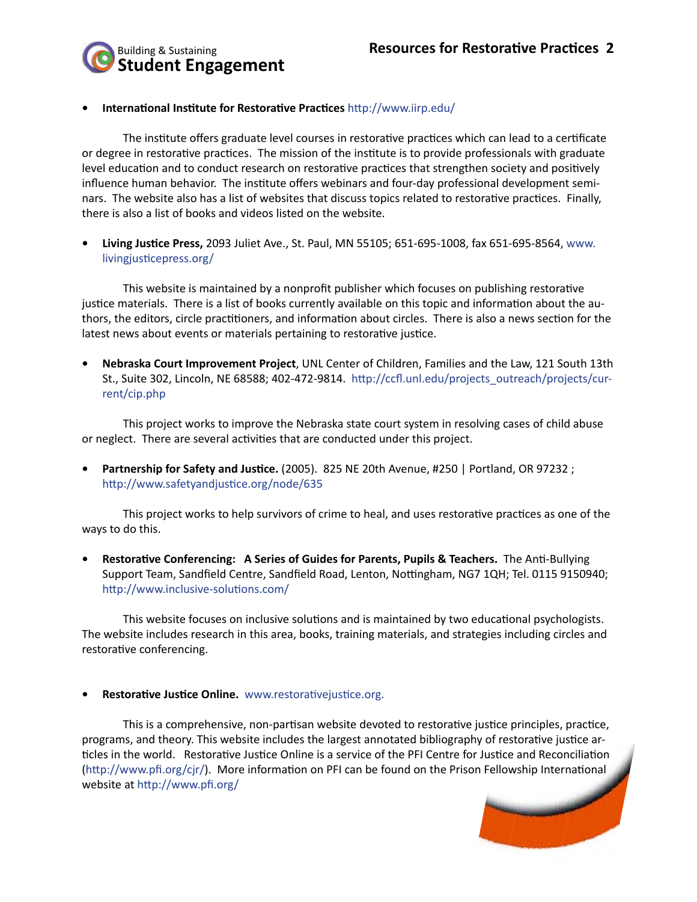

#### **• International Institute for Restorative Practices** http://www.iirp.edu/

The institute offers graduate level courses in restorative practices which can lead to a certificate or degree in restorative practices. The mission of the institute is to provide professionals with graduate level education and to conduct research on restorative practices that strengthen society and positively influence human behavior. The institute offers webinars and four-day professional development seminars. The website also has a list of websites that discuss topics related to restorative practices. Finally, there is also a list of books and videos listed on the website.

**• Living Justice Press,** 2093 Juliet Ave., St. Paul, MN 55105; 651-695-1008, fax 651-695-8564, www. livingjusticepress.org/

This website is maintained by a nonprofit publisher which focuses on publishing restorative justice materials. There is a list of books currently available on this topic and information about the authors, the editors, circle practitioners, and information about circles. There is also a news section for the latest news about events or materials pertaining to restorative justice.

**• Nebraska Court Improvement Project**, UNL Center of Children, Families and the Law, 121 South 13th St., Suite 302, Lincoln, NE 68588; 402-472-9814. http://ccfl.unl.edu/projects\_outreach/projects/current/cip.php

This project works to improve the Nebraska state court system in resolving cases of child abuse or neglect. There are several activities that are conducted under this project.

**• Partnership for Safety and Justice.** (2005). 825 NE 20th Avenue, #250 | Portland, OR 97232 ; http://www.safetyandjustice.org/node/635

This project works to help survivors of crime to heal, and uses restorative practices as one of the ways to do this.

**• Restorative Conferencing: A Series of Guides for Parents, Pupils & Teachers.** The Anti-Bullying Support Team, Sandfield Centre, Sandfield Road, Lenton, Nottingham, NG7 1QH; Tel. 0115 9150940; http://www.inclusive-solutions.com/

This website focuses on inclusive solutions and is maintained by two educational psychologists. The website includes research in this area, books, training materials, and strategies including circles and restorative conferencing.

#### **• Restorative Justice Online.** www.restorativejustice.org.

This is a comprehensive, non-partisan website devoted to restorative justice principles, practice, programs, and theory. This website includes the largest annotated bibliography of restorative justice articles in the world. Restorative Justice Online is a service of the PFI Centre for Justice and Reconciliation (http://www.pfi.org/cjr/). More information on PFI can be found on the Prison Fellowship International website at http://www.pfi.org/

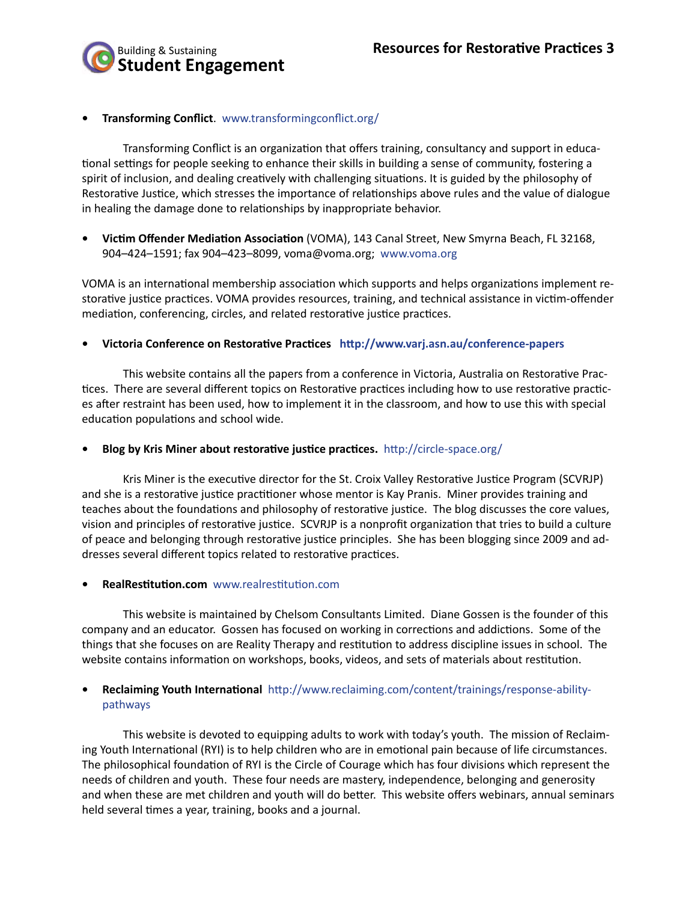

#### **• Transforming Conflict**. www.transformingconflict.org/

Transforming Conflict is an organization that offers training, consultancy and support in educational settings for people seeking to enhance their skills in building a sense of community, fostering a spirit of inclusion, and dealing creatively with challenging situations. It is guided by the philosophy of Restorative Justice, which stresses the importance of relationships above rules and the value of dialogue in healing the damage done to relationships by inappropriate behavior.

**• Victim Offender Mediation Association** (VOMA), 143 Canal Street, New Smyrna Beach, FL 32168, 904–424–1591; fax 904–423–8099, voma@voma.org; www.voma.org

VOMA is an international membership association which supports and helps organizations implement restorative justice practices. VOMA provides resources, training, and technical assistance in victim-offender mediation, conferencing, circles, and related restorative justice practices.

**• Victoria Conference on Restorative Practices http://www.varj.asn.au/conference-papers**

This website contains all the papers from a conference in Victoria, Australia on Restorative Practices. There are several different topics on Restorative practices including how to use restorative practices after restraint has been used, how to implement it in the classroom, and how to use this with special education populations and school wide.

#### **• Blog by Kris Miner about restorative justice practices.** http://circle-space.org/

Kris Miner is the executive director for the St. Croix Valley Restorative Justice Program (SCVRJP) and she is a restorative justice practitioner whose mentor is Kay Pranis. Miner provides training and teaches about the foundations and philosophy of restorative justice. The blog discusses the core values, vision and principles of restorative justice. SCVRJP is a nonprofit organization that tries to build a culture of peace and belonging through restorative justice principles. She has been blogging since 2009 and addresses several different topics related to restorative practices.

#### **• RealRestitution.com** www.realrestitution.com

This website is maintained by Chelsom Consultants Limited. Diane Gossen is the founder of this company and an educator. Gossen has focused on working in corrections and addictions. Some of the things that she focuses on are Reality Therapy and restitution to address discipline issues in school. The website contains information on workshops, books, videos, and sets of materials about restitution.

#### **• Reclaiming Youth International** http://www.reclaiming.com/content/trainings/response-abilitypathways

This website is devoted to equipping adults to work with today's youth. The mission of Reclaiming Youth International (RYI) is to help children who are in emotional pain because of life circumstances. The philosophical foundation of RYI is the Circle of Courage which has four divisions which represent the needs of children and youth. These four needs are mastery, independence, belonging and generosity and when these are met children and youth will do better. This website offers webinars, annual seminars held several times a year, training, books and a journal.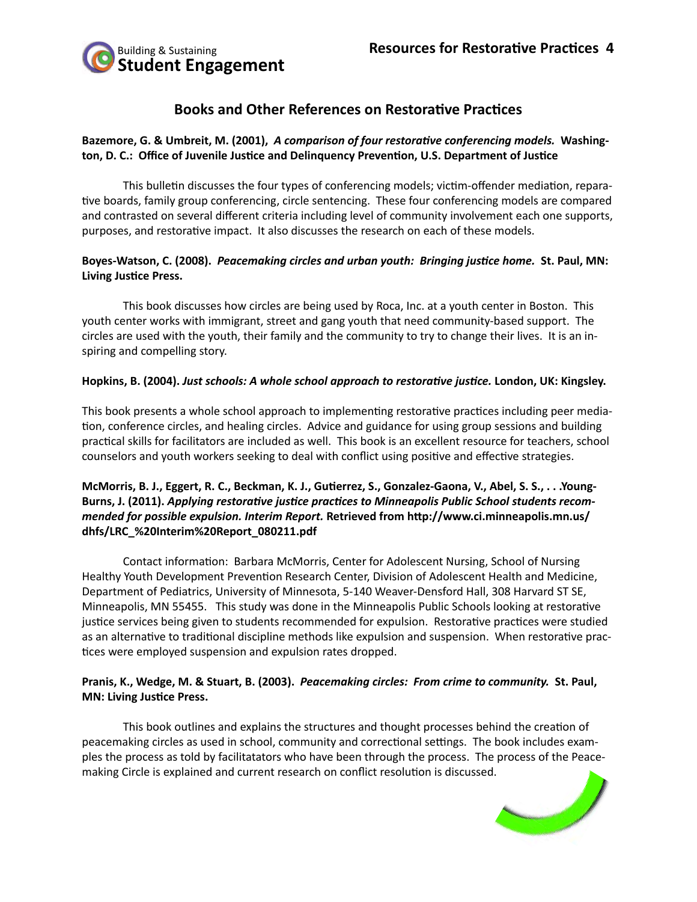

## **Books and Other References on Restorative Practices**

### **Bazemore, G. & Umbreit, M. (2001),** *A comparison of four restorative conferencing models.* **Washington, D. C.: Office of Juvenile Justice and Delinquency Prevention, U.S. Department of Justice**

This bulletin discusses the four types of conferencing models; victim-offender mediation, reparative boards, family group conferencing, circle sentencing. These four conferencing models are compared and contrasted on several different criteria including level of community involvement each one supports, purposes, and restorative impact. It also discusses the research on each of these models.

## **Boyes-Watson, C. (2008).** *Peacemaking circles and urban youth: Bringing justice home.* **St. Paul, MN: Living Justice Press.**

This book discusses how circles are being used by Roca, Inc. at a youth center in Boston. This youth center works with immigrant, street and gang youth that need community-based support. The circles are used with the youth, their family and the community to try to change their lives. It is an inspiring and compelling story.

#### **Hopkins, B. (2004).** *Just schools: A whole school approach to restorative justice.* **London, UK: Kingsley.**

This book presents a whole school approach to implementing restorative practices including peer mediation, conference circles, and healing circles. Advice and guidance for using group sessions and building practical skills for facilitators are included as well. This book is an excellent resource for teachers, school counselors and youth workers seeking to deal with conflict using positive and effective strategies.

#### **McMorris, B. J., Eggert, R. C., Beckman, K. J., Gutierrez, S., Gonzalez-Gaona, V., Abel, S. S., . . .Young-Burns, J. (2011).** *Applying restorative justice practices to Minneapolis Public School students recommended for possible expulsion. Interim Report.* **Retrieved from http://www.ci.minneapolis.mn.us/ dhfs/LRC\_%20Interim%20Report\_080211.pdf**

Contact information: Barbara McMorris, Center for Adolescent Nursing, School of Nursing Healthy Youth Development Prevention Research Center, Division of Adolescent Health and Medicine, Department of Pediatrics, University of Minnesota, 5-140 Weaver-Densford Hall, 308 Harvard ST SE, Minneapolis, MN 55455. This study was done in the Minneapolis Public Schools looking at restorative justice services being given to students recommended for expulsion. Restorative practices were studied as an alternative to traditional discipline methods like expulsion and suspension. When restorative practices were employed suspension and expulsion rates dropped.

#### **Pranis, K., Wedge, M. & Stuart, B. (2003).** *Peacemaking circles: From crime to community.* **St. Paul, MN: Living Justice Press.**

This book outlines and explains the structures and thought processes behind the creation of peacemaking circles as used in school, community and correctional settings. The book includes examples the process as told by facilitatators who have been through the process. The process of the Peacemaking Circle is explained and current research on conflict resolution is discussed.